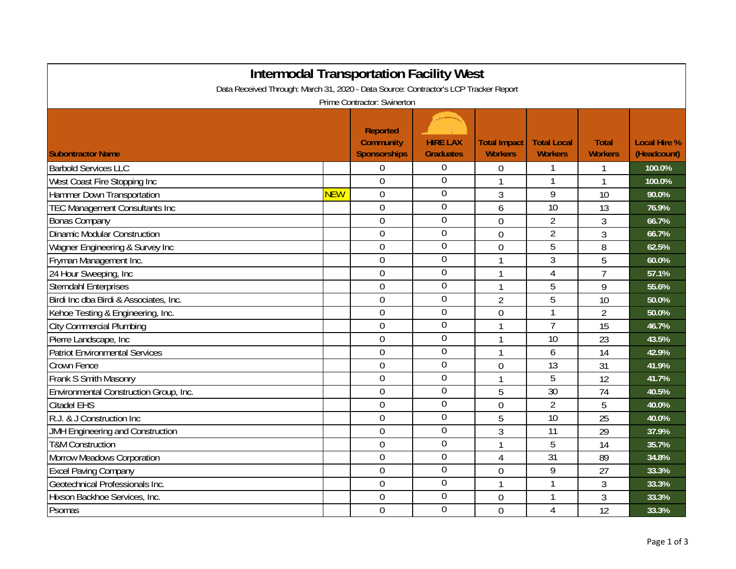| <b>Intermodal Transportation Facility West</b>                                       |            |                                                     |                                     |                                       |                                      |                                |                                    |  |  |
|--------------------------------------------------------------------------------------|------------|-----------------------------------------------------|-------------------------------------|---------------------------------------|--------------------------------------|--------------------------------|------------------------------------|--|--|
| Data Received Through: March 31, 2020 - Data Source: Contractor's LCP Tracker Report |            |                                                     |                                     |                                       |                                      |                                |                                    |  |  |
| Prime Contractor: Swinerton                                                          |            |                                                     |                                     |                                       |                                      |                                |                                    |  |  |
| <b>Subontractor Name</b>                                                             |            | <b>Reported</b><br><b>Community</b><br>Sponsorships | <b>HIRE LAX</b><br><b>Graduates</b> | <b>Total Impact</b><br><b>Workers</b> | <b>Total Local</b><br><b>Workers</b> | <b>Total</b><br><b>Workers</b> | <b>Local Hire %</b><br>(Headcount) |  |  |
| <b>Barbold Services LLC</b>                                                          |            | $\overline{0}$                                      | $\theta$                            | 0                                     |                                      |                                | 100.0%                             |  |  |
| West Coast Fire Stopping Inc                                                         |            | $\overline{0}$                                      | $\overline{0}$                      | 1                                     | 1                                    | 1                              | 100.0%                             |  |  |
| Hammer Down Transportation                                                           | <b>NEW</b> | $\mathbf 0$                                         | $\overline{0}$                      | 3                                     | 9                                    | 10                             | 90.0%                              |  |  |
| <b>TEC Management Consultants Inc</b>                                                |            | $\overline{0}$                                      | $\boldsymbol{0}$                    | 6                                     | 10                                   | 13                             | 76.9%                              |  |  |
| <b>Bonas Company</b>                                                                 |            | $\overline{0}$                                      | $\overline{0}$                      | $\overline{0}$                        | $\overline{2}$                       | 3                              | 66.7%                              |  |  |
| <b>Dinamic Modular Construction</b>                                                  |            | $\overline{0}$                                      | $\overline{0}$                      | $\overline{0}$                        | $\overline{2}$                       | 3                              | 66.7%                              |  |  |
| Wagner Engineering & Survey Inc                                                      |            | $\overline{0}$                                      | $\overline{0}$                      | $\mathbf 0$                           | 5                                    | 8                              | 62.5%                              |  |  |
| Fryman Management Inc.                                                               |            | $\mathbf 0$                                         | $\overline{0}$                      | 1                                     | 3                                    | 5                              | 60.0%                              |  |  |
| 24 Hour Sweeping, Inc                                                                |            | $\mathbf 0$                                         | $\theta$                            | 1                                     | $\overline{4}$                       | $\overline{7}$                 | 57.1%                              |  |  |
| <b>Sterndahl Enterprises</b>                                                         |            | $\overline{0}$                                      | $\overline{0}$                      | 1                                     | 5                                    | 9                              | 55.6%                              |  |  |
| Birdi Inc dba Birdi & Associates, Inc.                                               |            | $\overline{0}$                                      | $\overline{0}$                      | $\overline{2}$                        | $\overline{5}$                       | 10                             | 50.0%                              |  |  |
| Kehoe Testing & Engineering, Inc.                                                    |            | $\mathbf 0$                                         | $\overline{0}$                      | 0                                     |                                      | $\overline{2}$                 | 50.0%                              |  |  |
| <b>City Commercial Plumbing</b>                                                      |            | $\overline{0}$                                      | $\mathbf 0$                         | 1                                     | $\overline{1}$                       | 15                             | 46.7%                              |  |  |
| Pierre Landscape, Inc.                                                               |            | $\overline{0}$                                      | $\mathbf 0$                         | $\mathbf{1}$                          | 10                                   | 23                             | 43.5%                              |  |  |
| <b>Patriot Environmental Services</b>                                                |            | $\overline{0}$                                      | $\overline{0}$                      | 1                                     | 6                                    | 14                             | 42.9%                              |  |  |
| Crown Fence                                                                          |            | $\overline{0}$                                      | $\overline{0}$                      | $\overline{0}$                        | 13                                   | 31                             | 41.9%                              |  |  |
| Frank S Smith Masonry                                                                |            | $\overline{0}$                                      | $\overline{0}$                      | 1                                     | 5                                    | 12                             | 41.7%                              |  |  |
| Environmental Construction Group, Inc.                                               |            | $\overline{0}$                                      | $\overline{0}$                      | 5                                     | 30                                   | 74                             | 40.5%                              |  |  |
| Citadel EHS                                                                          |            | $\overline{0}$                                      | $\overline{0}$                      | $\overline{0}$                        | $\overline{2}$                       | 5                              | 40.0%                              |  |  |
| R.J. & J Construction Inc                                                            |            | $\overline{0}$                                      | $\overline{0}$                      | 5                                     | $\overline{10}$                      | 25                             | 40.0%                              |  |  |
| <b>JMH Engineering and Construction</b>                                              |            | $\mathbf 0$                                         | $\overline{0}$                      | 3                                     | 11                                   | 29                             | 37.9%                              |  |  |
| <b>T&amp;M Construction</b>                                                          |            | $\mathbf 0$                                         | $\boldsymbol{0}$                    | $\mathbf{1}$                          | 5                                    | 14                             | 35.7%                              |  |  |
| Morrow Meadows Corporation                                                           |            | $\overline{0}$                                      | $\mathbf 0$                         | $\overline{4}$                        | $\overline{31}$                      | 89                             | 34.8%                              |  |  |
| <b>Excel Paving Company</b>                                                          |            | $\overline{0}$                                      | $\overline{0}$                      | $\overline{0}$                        | 9                                    | 27                             | 33.3%                              |  |  |
| Geotechnical Professionals Inc.                                                      |            | $\overline{0}$                                      | $\overline{0}$                      | 1                                     |                                      | 3                              | 33.3%                              |  |  |
| Hixson Backhoe Services, Inc.                                                        |            | $\mathbf 0$                                         | $\boldsymbol{0}$                    | 0                                     | 1                                    | 3                              | 33.3%                              |  |  |
| Psomas                                                                               |            | $\overline{0}$                                      | $\overline{0}$                      | $\overline{0}$                        | $\overline{4}$                       | 12                             | 33.3%                              |  |  |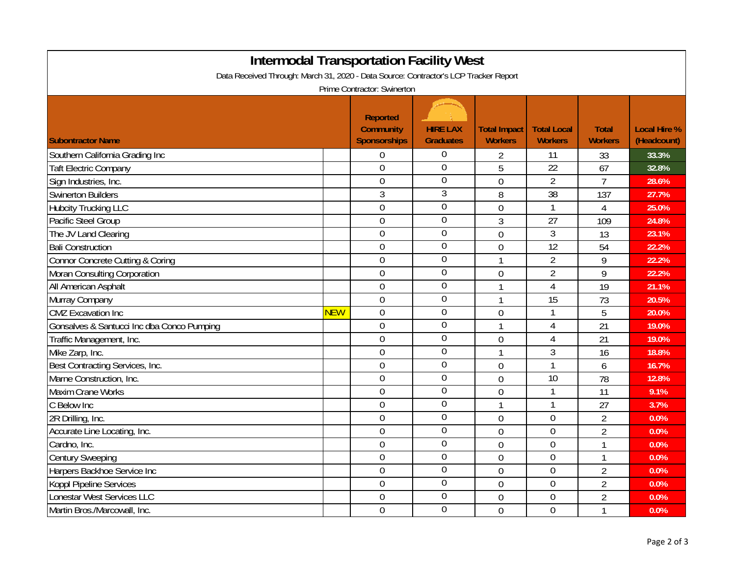| <b>Intermodal Transportation Facility West</b><br>Data Received Through: March 31, 2020 - Data Source: Contractor's LCP Tracker Report<br>Prime Contractor: Swinerton |            |                  |                  |                |                  |                |       |  |
|-----------------------------------------------------------------------------------------------------------------------------------------------------------------------|------------|------------------|------------------|----------------|------------------|----------------|-------|--|
|                                                                                                                                                                       |            |                  |                  |                |                  |                |       |  |
| Southern California Grading Inc                                                                                                                                       |            | $\overline{0}$   | 0                | 2              | 11               | 33             | 33.3% |  |
| <b>Taft Electric Company</b>                                                                                                                                          |            | $\boldsymbol{0}$ | $\boldsymbol{0}$ | 5              | 22               | 67             | 32.8% |  |
| Sign Industries, Inc.                                                                                                                                                 |            | $\boldsymbol{0}$ | $\overline{0}$   | $\overline{0}$ | $\overline{2}$   | $\overline{7}$ | 28.6% |  |
| Swinerton Builders                                                                                                                                                    |            | 3                | $\overline{3}$   | 8              | $\overline{38}$  | 137            | 27.7% |  |
| <b>Hubcity Trucking LLC</b>                                                                                                                                           |            | $\overline{0}$   | $\overline{0}$   | $\overline{0}$ | $\mathbf{1}$     | $\overline{4}$ | 25.0% |  |
| Pacific Steel Group                                                                                                                                                   |            | $\boldsymbol{0}$ | $\mathbf 0$      | 3              | 27               | 109            | 24.8% |  |
| The JV Land Clearing                                                                                                                                                  |            | $\mathbf 0$      | $\boldsymbol{0}$ | $\overline{0}$ | $\mathfrak{Z}$   | 13             | 23.1% |  |
| <b>Bali Construction</b>                                                                                                                                              |            | $\overline{0}$   | $\overline{0}$   | $\mathbf 0$    | 12               | 54             | 22.2% |  |
| Connor Concrete Cutting & Coring                                                                                                                                      |            | $\boldsymbol{0}$ | $\boldsymbol{0}$ | $\mathbf{1}$   | $\overline{2}$   | 9              | 22.2% |  |
| Moran Consulting Corporation                                                                                                                                          |            | $\boldsymbol{0}$ | $\mathbf 0$      | $\overline{0}$ | $\overline{2}$   | 9              | 22.2% |  |
| All American Asphalt                                                                                                                                                  |            | $\overline{0}$   | $\boldsymbol{0}$ | $\mathbf{1}$   | $\overline{4}$   | 19             | 21.1% |  |
| Murray Company                                                                                                                                                        |            | $\overline{0}$   | $\boldsymbol{0}$ | 1              | 15               | 73             | 20.5% |  |
| <b>CMZ</b> Excavation Inc                                                                                                                                             | <b>NEW</b> | $\overline{0}$   | $\boldsymbol{0}$ | $\overline{0}$ | $\mathbf{1}$     | 5              | 20.0% |  |
| Gonsalves & Santucci Inc dba Conco Pumping                                                                                                                            |            | $\mathbf 0$      | $\boldsymbol{0}$ | 1              | 4                | 21             | 19.0% |  |
| Traffic Management, Inc.                                                                                                                                              |            | $\mathbf 0$      | $\mathbf 0$      | $\overline{0}$ | $\overline{4}$   | 21             | 19.0% |  |
| Mike Zarp, Inc.                                                                                                                                                       |            | $\mathbf 0$      | $\overline{0}$   | 1              | $\mathfrak{Z}$   | 16             | 18.8% |  |
| Best Contracting Services, Inc.                                                                                                                                       |            | $\mathbf 0$      | $\overline{0}$   | $\overline{0}$ | $\mathbf{1}$     | 6              | 16.7% |  |
| Marne Construction, Inc.                                                                                                                                              |            | $\mathbf 0$      | $\overline{0}$   | $\mathbf 0$    | $\overline{10}$  | 78             | 12.8% |  |
| <b>Maxim Crane Works</b>                                                                                                                                              |            | $\mathbf 0$      | $\mathbf 0$      | $\mathbf 0$    | $\mathbf{1}$     | 11             | 9.1%  |  |
| C Below Inc                                                                                                                                                           |            | $\overline{0}$   | $\boldsymbol{0}$ | $\mathbf{1}$   | $\mathbf{1}$     | 27             | 3.7%  |  |
| 2R Drilling, Inc.                                                                                                                                                     |            | $\overline{0}$   | $\overline{0}$   | $\overline{0}$ | $\overline{0}$   | $\overline{2}$ | 0.0%  |  |
| Accurate Line Locating, Inc.                                                                                                                                          |            | $\overline{0}$   | $\boldsymbol{0}$ | $\overline{0}$ | $\overline{0}$   | $\overline{2}$ | 0.0%  |  |
| Cardno, Inc.                                                                                                                                                          |            | $\overline{0}$   | $\mathbf 0$      | $\overline{0}$ | $\mathbf 0$      | $\mathbf{1}$   | 0.0%  |  |
| <b>Century Sweeping</b>                                                                                                                                               |            | $\overline{0}$   | $\overline{0}$   | $\overline{0}$ | $\overline{0}$   | $\mathbf{1}$   | 0.0%  |  |
| Harpers Backhoe Service Inc                                                                                                                                           |            | $\mathbf 0$      | $\overline{0}$   | $\overline{0}$ | $\boldsymbol{0}$ | $\overline{2}$ | 0.0%  |  |
| Koppl Pipeline Services                                                                                                                                               |            | $\mathbf 0$      | $\overline{0}$   | $\overline{0}$ | $\boldsymbol{0}$ | $\overline{2}$ | 0.0%  |  |
| Lonestar West Services LLC                                                                                                                                            |            | $\mathbf 0$      | $\boldsymbol{0}$ | $\overline{0}$ | $\boldsymbol{0}$ | $\overline{2}$ | 0.0%  |  |
| Martin Bros./Marcowall, Inc.                                                                                                                                          |            | $\mathbf 0$      | $\overline{0}$   | $\overline{0}$ | $\overline{0}$   | $\mathbf{1}$   | 0.0%  |  |